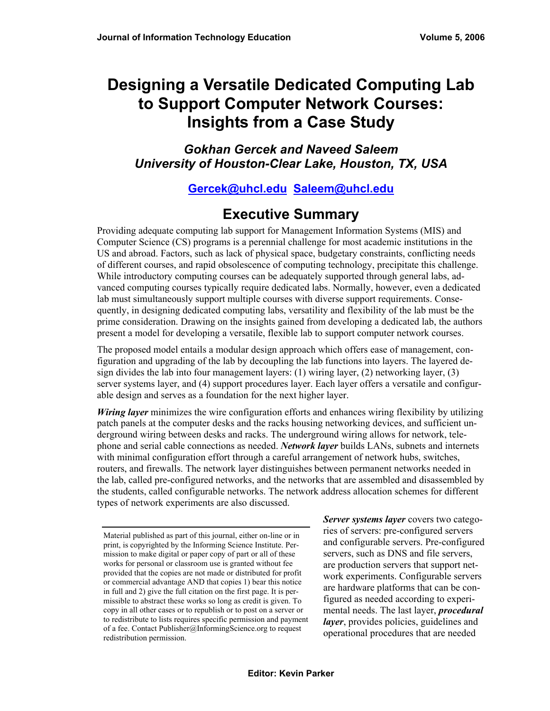# **Designing a Versatile Dedicated Computing Lab to Support Computer Network Courses: Insights from a Case Study**

*Gokhan Gercek and Naveed Saleem University of Houston-Clear Lake, Houston, TX, USA* 

### **[Gercek@uhcl.edu](mailto:Gercek@uhcl.edu) [Saleem@uhcl.edu](mailto:Saleem@uhcl.edu)**

## **Executive Summary**

Providing adequate computing lab support for Management Information Systems (MIS) and Computer Science (CS) programs is a perennial challenge for most academic institutions in the US and abroad. Factors, such as lack of physical space, budgetary constraints, conflicting needs of different courses, and rapid obsolescence of computing technology, precipitate this challenge. While introductory computing courses can be adequately supported through general labs, advanced computing courses typically require dedicated labs. Normally, however, even a dedicated lab must simultaneously support multiple courses with diverse support requirements. Consequently, in designing dedicated computing labs, versatility and flexibility of the lab must be the prime consideration. Drawing on the insights gained from developing a dedicated lab, the authors present a model for developing a versatile, flexible lab to support computer network courses.

The proposed model entails a modular design approach which offers ease of management, configuration and upgrading of the lab by decoupling the lab functions into layers. The layered design divides the lab into four management layers:  $(1)$  wiring layer,  $(2)$  networking layer,  $(3)$ server systems layer, and (4) support procedures layer. Each layer offers a versatile and configurable design and serves as a foundation for the next higher layer.

*Wiring layer* minimizes the wire configuration efforts and enhances wiring flexibility by utilizing patch panels at the computer desks and the racks housing networking devices, and sufficient underground wiring between desks and racks. The underground wiring allows for network, telephone and serial cable connections as needed. *Network layer* builds LANs, subnets and internets with minimal configuration effort through a careful arrangement of network hubs, switches, routers, and firewalls. The network layer distinguishes between permanent networks needed in the lab, called pre-configured networks, and the networks that are assembled and disassembled by the students, called configurable networks. The network address allocation schemes for different types of network experiments are also discussed.

*Server systems layer* covers two categories of servers: pre-configured servers and configurable servers. Pre-configured servers, such as DNS and file servers, are production servers that support network experiments. Configurable servers are hardware platforms that can be configured as needed according to experimental needs. The last layer, *procedural layer*, provides policies, guidelines and operational procedures that are needed

Material published as part of this journal, either on-line or in print, is copyrighted by the Informing Science Institute. Permission to make digital or paper copy of part or all of these works for personal or classroom use is granted without fee provided that the copies are not made or distributed for profit or commercial advantage AND that copies 1) bear this notice in full and 2) give the full citation on the first page. It is permissible to abstract these works so long as credit is given. To copy in all other cases or to republish or to post on a server or to redistribute to lists requires specific permission and payment of a fee. Contact Publisher@InformingScience.org to request redistribution permission.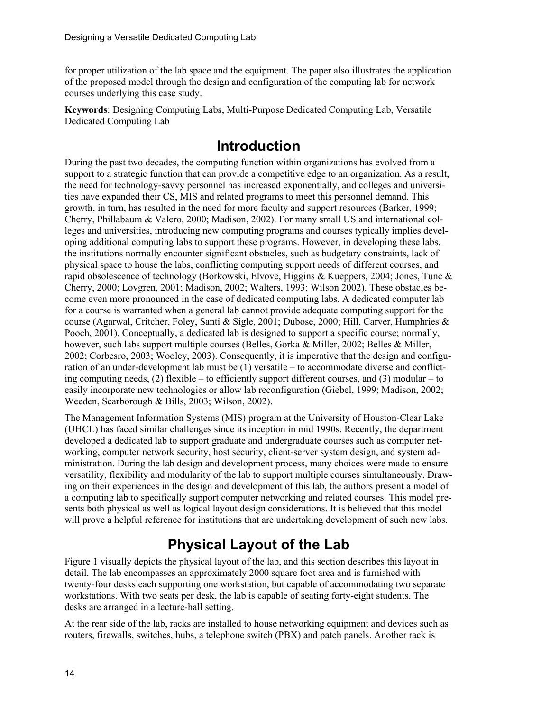for proper utilization of the lab space and the equipment. The paper also illustrates the application of the proposed model through the design and configuration of the computing lab for network courses underlying this case study.

**Keywords**: Designing Computing Labs, Multi-Purpose Dedicated Computing Lab, Versatile Dedicated Computing Lab

## **Introduction**

During the past two decades, the computing function within organizations has evolved from a support to a strategic function that can provide a competitive edge to an organization. As a result, the need for technology-savvy personnel has increased exponentially, and colleges and universities have expanded their CS, MIS and related programs to meet this personnel demand. This growth, in turn, has resulted in the need for more faculty and support resources (Barker, 1999; Cherry, Phillabaum & Valero, 2000; Madison, 2002). For many small US and international colleges and universities, introducing new computing programs and courses typically implies developing additional computing labs to support these programs. However, in developing these labs, the institutions normally encounter significant obstacles, such as budgetary constraints, lack of physical space to house the labs, conflicting computing support needs of different courses, and rapid obsolescence of technology (Borkowski, Elvove, Higgins & Kueppers, 2004; Jones, Tunc & Cherry, 2000; Lovgren, 2001; Madison, 2002; Walters, 1993; Wilson 2002). These obstacles become even more pronounced in the case of dedicated computing labs. A dedicated computer lab for a course is warranted when a general lab cannot provide adequate computing support for the course (Agarwal, Critcher, Foley, Santi & Sigle, 2001; Dubose, 2000; Hill, Carver, Humphries & Pooch, 2001). Conceptually, a dedicated lab is designed to support a specific course; normally, however, such labs support multiple courses (Belles, Gorka & Miller, 2002; Belles & Miller, 2002; Corbesro, 2003; Wooley, 2003). Consequently, it is imperative that the design and configuration of an under-development lab must be (1) versatile – to accommodate diverse and conflicting computing needs,  $(2)$  flexible – to efficiently support different courses, and  $(3)$  modular – to easily incorporate new technologies or allow lab reconfiguration (Giebel, 1999; Madison, 2002; Weeden, Scarborough & Bills, 2003; Wilson, 2002).

The Management Information Systems (MIS) program at the University of Houston-Clear Lake (UHCL) has faced similar challenges since its inception in mid 1990s. Recently, the department developed a dedicated lab to support graduate and undergraduate courses such as computer networking, computer network security, host security, client-server system design, and system administration. During the lab design and development process, many choices were made to ensure versatility, flexibility and modularity of the lab to support multiple courses simultaneously. Drawing on their experiences in the design and development of this lab, the authors present a model of a computing lab to specifically support computer networking and related courses. This model presents both physical as well as logical layout design considerations. It is believed that this model will prove a helpful reference for institutions that are undertaking development of such new labs.

# **Physical Layout of the Lab**

Figure 1 visually depicts the physical layout of the lab, and this section describes this layout in detail. The lab encompasses an approximately 2000 square foot area and is furnished with twenty-four desks each supporting one workstation, but capable of accommodating two separate workstations. With two seats per desk, the lab is capable of seating forty-eight students. The desks are arranged in a lecture-hall setting.

At the rear side of the lab, racks are installed to house networking equipment and devices such as routers, firewalls, switches, hubs, a telephone switch (PBX) and patch panels. Another rack is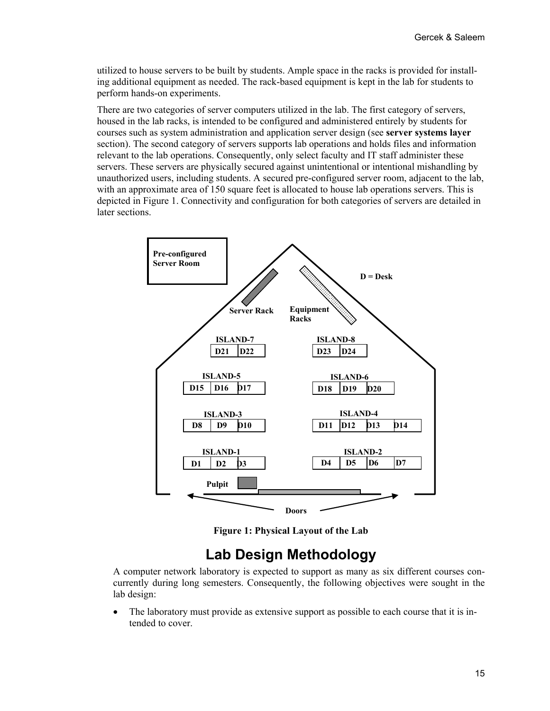utilized to house servers to be built by students. Ample space in the racks is provided for installing additional equipment as needed. The rack-based equipment is kept in the lab for students to perform hands-on experiments.

There are two categories of server computers utilized in the lab. The first category of servers, housed in the lab racks, is intended to be configured and administered entirely by students for courses such as system administration and application server design (see **server systems layer** section). The second category of servers supports lab operations and holds files and information relevant to the lab operations. Consequently, only select faculty and IT staff administer these servers. These servers are physically secured against unintentional or intentional mishandling by unauthorized users, including students. A secured pre-configured server room, adjacent to the lab, with an approximate area of 150 square feet is allocated to house lab operations servers. This is depicted in Figure 1. Connectivity and configuration for both categories of servers are detailed in later sections.



**Figure 1: Physical Layout of the Lab**

### **Lab Design Methodology**

A computer network laboratory is expected to support as many as six different courses concurrently during long semesters. Consequently, the following objectives were sought in the lab design:

• The laboratory must provide as extensive support as possible to each course that it is intended to cover.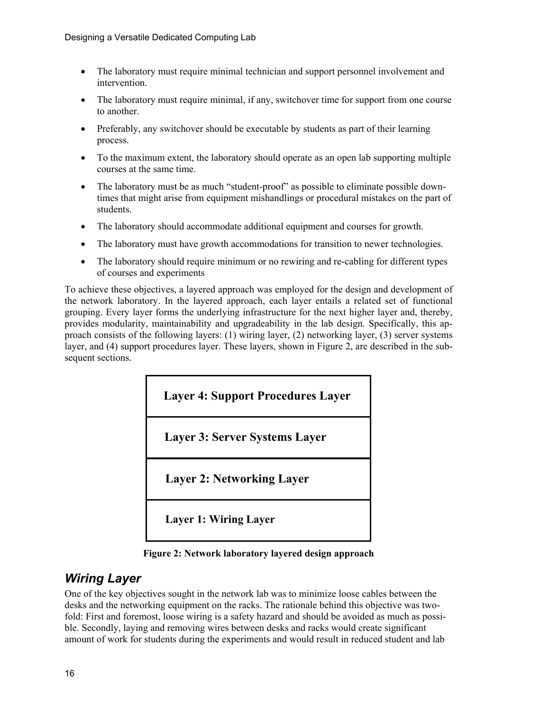- The laboratory must require minimal technician and support personnel involvement and intervention.
- The laboratory must require minimal, if any, switchover time for support from one course to another.
- Preferably, any switchover should be executable by students as part of their learning process.
- To the maximum extent, the laboratory should operate as an open lab supporting multiple courses at the same time.
- The laboratory must be as much "student-proof" as possible to eliminate possible downtimes that might arise from equipment mishandlings or procedural mistakes on the part of students.
- The laboratory should accommodate additional equipment and courses for growth.
- The laboratory must have growth accommodations for transition to newer technologies.
- The laboratory should require minimum or no rewiring and re-cabling for different types of courses and experiments

To achieve these objectives, a layered approach was employed for the design and development of the network laboratory. In the layered approach, each layer entails a related set of functional grouping. Every layer forms the underlying infrastructure for the next higher layer and, thereby, provides modularity, maintainability and upgradeability in the lab design. Specifically, this approach consists of the following layers: (1) wiring layer, (2) networking layer, (3) server systems layer, and (4) support procedures layer. These layers, shown in Figure 2, are described in the subsequent sections.



**Figure 2: Network laboratory layered design approach** 

### *Wiring Layer*

One of the key objectives sought in the network lab was to minimize loose cables between the desks and the networking equipment on the racks. The rationale behind this objective was twofold: First and foremost, loose wiring is a safety hazard and should be avoided as much as possible. Secondly, laying and removing wires between desks and racks would create significant amount of work for students during the experiments and would result in reduced student and lab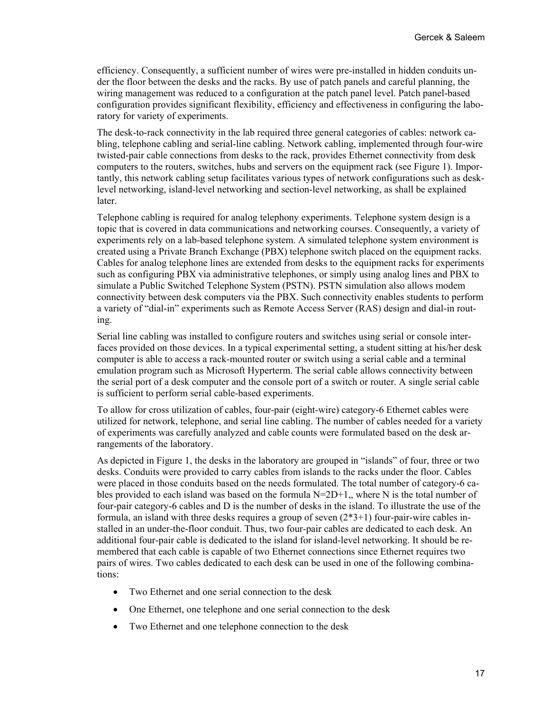efficiency. Consequently, a sufficient number of wires were pre-installed in hidden conduits under the floor between the desks and the racks. By use of patch panels and careful planning, the wiring management was reduced to a configuration at the patch panel level. Patch panel-based configuration provides significant flexibility, efficiency and effectiveness in configuring the laboratory for variety of experiments.

The desk-to-rack connectivity in the lab required three general categories of cables: network cabling, telephone cabling and serial-line cabling. Network cabling, implemented through four-wire twisted-pair cable connections from desks to the rack, provides Ethernet connectivity from desk computers to the routers, switches, hubs and servers on the equipment rack (see Figure 1). Importantly, this network cabling setup facilitates various types of network configurations such as desklevel networking, island-level networking and section-level networking, as shall be explained later.

Telephone cabling is required for analog telephony experiments. Telephone system design is a topic that is covered in data communications and networking courses. Consequently, a variety of experiments rely on a lab-based telephone system. A simulated telephone system environment is created using a Private Branch Exchange (PBX) telephone switch placed on the equipment racks. Cables for analog telephone lines are extended from desks to the equipment racks for experiments such as configuring PBX via administrative telephones, or simply using analog lines and PBX to simulate a Public Switched Telephone System (PSTN). PSTN simulation also allows modem connectivity between desk computers via the PBX. Such connectivity enables students to perform a variety of "dial-in" experiments such as Remote Access Server (RAS) design and dial-in routing.

Serial line cabling was installed to configure routers and switches using serial or console interfaces provided on those devices. In a typical experimental setting, a student sitting at his/her desk computer is able to access a rack-mounted router or switch using a serial cable and a terminal emulation program such as Microsoft Hyperterm. The serial cable allows connectivity between the serial port of a desk computer and the console port of a switch or router. A single serial cable is sufficient to perform serial cable-based experiments.

To allow for cross utilization of cables, four-pair (eight-wire) category-6 Ethernet cables were utilized for network, telephone, and serial line cabling. The number of cables needed for a variety of experiments was carefully analyzed and cable counts were formulated based on the desk arrangements of the laboratory.

As depicted in Figure 1, the desks in the laboratory are grouped in "islands" of four, three or two desks. Conduits were provided to carry cables from islands to the racks under the floor. Cables were placed in those conduits based on the needs formulated. The total number of category-6 cables provided to each island was based on the formula  $N=2D+1$ , where N is the total number of four-pair category-6 cables and D is the number of desks in the island. To illustrate the use of the formula, an island with three desks requires a group of seven  $(2^*3+1)$  four-pair-wire cables installed in an under-the-floor conduit. Thus, two four-pair cables are dedicated to each desk. An additional four-pair cable is dedicated to the island for island-level networking. It should be remembered that each cable is capable of two Ethernet connections since Ethernet requires two pairs of wires. Two cables dedicated to each desk can be used in one of the following combinations:

- Two Ethernet and one serial connection to the desk
- One Ethernet, one telephone and one serial connection to the desk
- Two Ethernet and one telephone connection to the desk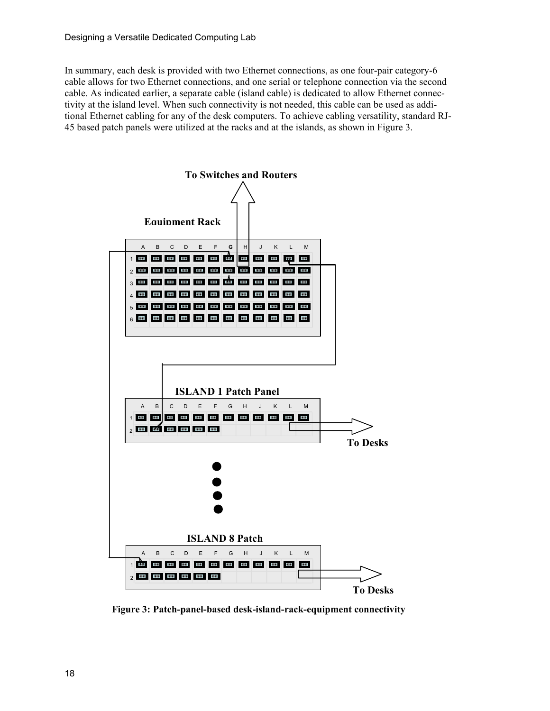In summary, each desk is provided with two Ethernet connections, as one four-pair category-6 cable allows for two Ethernet connections, and one serial or telephone connection via the second cable. As indicated earlier, a separate cable (island cable) is dedicated to allow Ethernet connectivity at the island level. When such connectivity is not needed, this cable can be used as additional Ethernet cabling for any of the desk computers. To achieve cabling versatility, standard RJ-45 based patch panels were utilized at the racks and at the islands, as shown in Figure 3.



**Figure 3: Patch-panel-based desk-island-rack-equipment connectivity**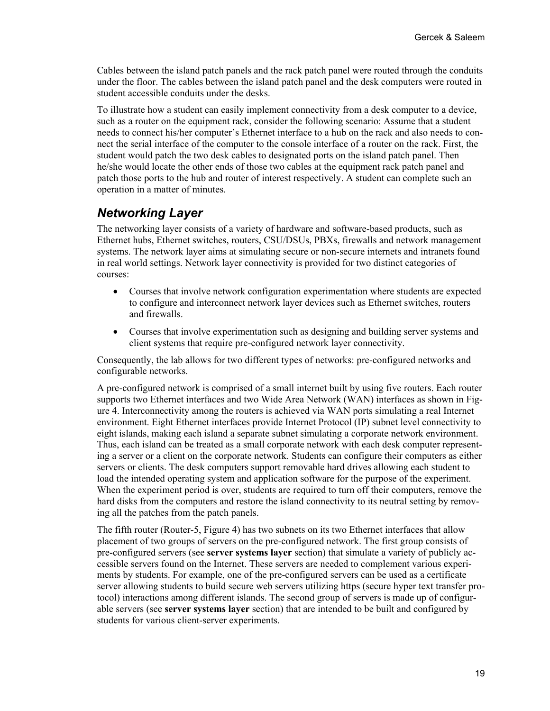Cables between the island patch panels and the rack patch panel were routed through the conduits under the floor. The cables between the island patch panel and the desk computers were routed in student accessible conduits under the desks.

To illustrate how a student can easily implement connectivity from a desk computer to a device, such as a router on the equipment rack, consider the following scenario: Assume that a student needs to connect his/her computer's Ethernet interface to a hub on the rack and also needs to connect the serial interface of the computer to the console interface of a router on the rack. First, the student would patch the two desk cables to designated ports on the island patch panel. Then he/she would locate the other ends of those two cables at the equipment rack patch panel and patch those ports to the hub and router of interest respectively. A student can complete such an operation in a matter of minutes.

### *Networking Layer*

The networking layer consists of a variety of hardware and software-based products, such as Ethernet hubs, Ethernet switches, routers, CSU/DSUs, PBXs, firewalls and network management systems. The network layer aims at simulating secure or non-secure internets and intranets found in real world settings. Network layer connectivity is provided for two distinct categories of courses:

- Courses that involve network configuration experimentation where students are expected to configure and interconnect network layer devices such as Ethernet switches, routers and firewalls.
- Courses that involve experimentation such as designing and building server systems and client systems that require pre-configured network layer connectivity.

Consequently, the lab allows for two different types of networks: pre-configured networks and configurable networks.

A pre-configured network is comprised of a small internet built by using five routers. Each router supports two Ethernet interfaces and two Wide Area Network (WAN) interfaces as shown in Figure 4. Interconnectivity among the routers is achieved via WAN ports simulating a real Internet environment. Eight Ethernet interfaces provide Internet Protocol (IP) subnet level connectivity to eight islands, making each island a separate subnet simulating a corporate network environment. Thus, each island can be treated as a small corporate network with each desk computer representing a server or a client on the corporate network. Students can configure their computers as either servers or clients. The desk computers support removable hard drives allowing each student to load the intended operating system and application software for the purpose of the experiment. When the experiment period is over, students are required to turn off their computers, remove the hard disks from the computers and restore the island connectivity to its neutral setting by removing all the patches from the patch panels.

The fifth router (Router-5, Figure 4) has two subnets on its two Ethernet interfaces that allow placement of two groups of servers on the pre-configured network. The first group consists of pre-configured servers (see **server systems layer** section) that simulate a variety of publicly accessible servers found on the Internet. These servers are needed to complement various experiments by students. For example, one of the pre-configured servers can be used as a certificate server allowing students to build secure web servers utilizing https (secure hyper text transfer protocol) interactions among different islands. The second group of servers is made up of configurable servers (see **server systems layer** section) that are intended to be built and configured by students for various client-server experiments.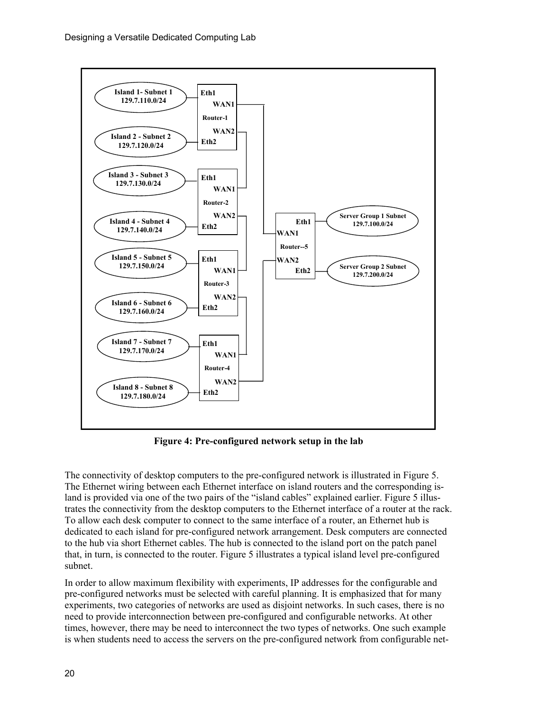

**Figure 4: Pre-configured network setup in the lab** 

The connectivity of desktop computers to the pre-configured network is illustrated in Figure 5. The Ethernet wiring between each Ethernet interface on island routers and the corresponding island is provided via one of the two pairs of the "island cables" explained earlier. Figure 5 illustrates the connectivity from the desktop computers to the Ethernet interface of a router at the rack. To allow each desk computer to connect to the same interface of a router, an Ethernet hub is dedicated to each island for pre-configured network arrangement. Desk computers are connected to the hub via short Ethernet cables. The hub is connected to the island port on the patch panel that, in turn, is connected to the router. Figure 5 illustrates a typical island level pre-configured subnet.

In order to allow maximum flexibility with experiments, IP addresses for the configurable and pre-configured networks must be selected with careful planning. It is emphasized that for many experiments, two categories of networks are used as disjoint networks. In such cases, there is no need to provide interconnection between pre-configured and configurable networks. At other times, however, there may be need to interconnect the two types of networks. One such example is when students need to access the servers on the pre-configured network from configurable net-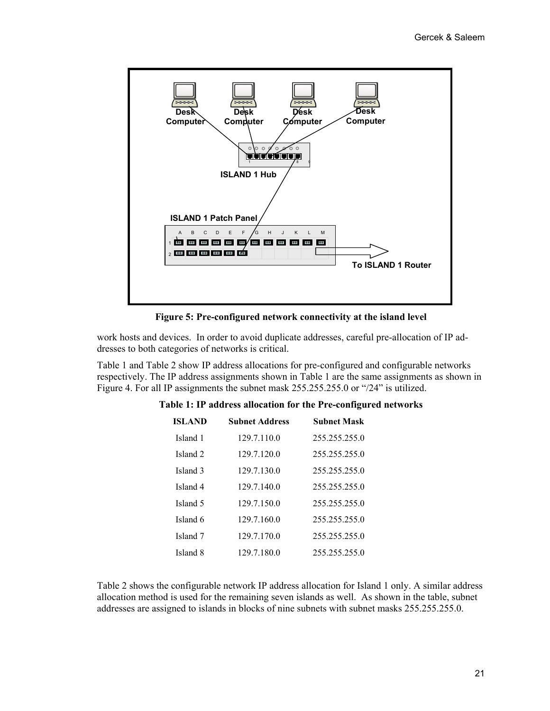

**Figure 5: Pre-configured network connectivity at the island level**

work hosts and devices. In order to avoid duplicate addresses, careful pre-allocation of IP addresses to both categories of networks is critical.

Table 1 and Table 2 show IP address allocations for pre-configured and configurable networks respectively. The IP address assignments shown in Table 1 are the same assignments as shown in Figure 4. For all IP assignments the subnet mask 255.255.255.0 or "/24" is utilized.

| <b>ISLAND</b>       | <b>Subnet Address</b> | <b>Subnet Mask</b> |
|---------------------|-----------------------|--------------------|
| Island 1            | 129.7.110.0           | 255.255.255.0      |
| Island <sub>2</sub> | 129.7.120.0           | 255.255.255.0      |
| Island <sub>3</sub> | 129.7.130.0           | 255.255.255.0      |
| Island 4            | 129.7.140.0           | 255.255.255.0      |
| Island 5            | 129.7.150.0           | 255.255.255.0      |
| Island 6            | 129.7.160.0           | 255.255.255.0      |
| Island 7            | 129.7.170.0           | 255.255.255.0      |
| Island 8            | 129.7.180.0           | 255.255.255.0      |
|                     |                       |                    |

#### **Table 1: IP address allocation for the Pre-configured networks**

Table 2 shows the configurable network IP address allocation for Island 1 only. A similar address allocation method is used for the remaining seven islands as well. As shown in the table, subnet addresses are assigned to islands in blocks of nine subnets with subnet masks 255.255.255.0.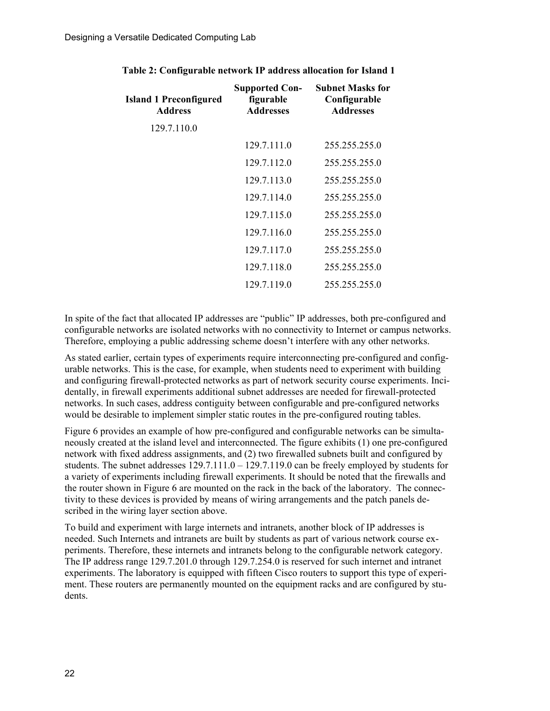| <b>Island 1 Preconfigured</b><br><b>Address</b> | <b>Supported Con-</b><br>figurable<br><b>Addresses</b> | <b>Subnet Masks for</b><br>Configurable<br><b>Addresses</b> |
|-------------------------------------------------|--------------------------------------------------------|-------------------------------------------------------------|
| 129.7.110.0                                     |                                                        |                                                             |
|                                                 | 129.7.111.0                                            | 255.255.255.0                                               |
|                                                 | 129.7.112.0                                            | 255.255.255.0                                               |
|                                                 | 129.7.113.0                                            | 255.255.255.0                                               |
|                                                 | 129.7.114.0                                            | 255.255.255.0                                               |
|                                                 | 129.7.115.0                                            | 255.255.255.0                                               |
|                                                 | 129.7.116.0                                            | 255.255.255.0                                               |
|                                                 | 129.7.117.0                                            | 255.255.255.0                                               |
|                                                 | 129.7.118.0                                            | 255.255.255.0                                               |
|                                                 | 129.7.119.0                                            | 255, 255, 255, 0                                            |

**Table 2: Configurable network IP address allocation for Island 1**

In spite of the fact that allocated IP addresses are "public" IP addresses, both pre-configured and configurable networks are isolated networks with no connectivity to Internet or campus networks. Therefore, employing a public addressing scheme doesn't interfere with any other networks.

As stated earlier, certain types of experiments require interconnecting pre-configured and configurable networks. This is the case, for example, when students need to experiment with building and configuring firewall-protected networks as part of network security course experiments. Incidentally, in firewall experiments additional subnet addresses are needed for firewall-protected networks. In such cases, address contiguity between configurable and pre-configured networks would be desirable to implement simpler static routes in the pre-configured routing tables.

Figure 6 provides an example of how pre-configured and configurable networks can be simultaneously created at the island level and interconnected. The figure exhibits (1) one pre-configured network with fixed address assignments, and (2) two firewalled subnets built and configured by students. The subnet addresses  $129.7.111.0 - 129.7.119.0$  can be freely employed by students for a variety of experiments including firewall experiments. It should be noted that the firewalls and the router shown in Figure 6 are mounted on the rack in the back of the laboratory. The connectivity to these devices is provided by means of wiring arrangements and the patch panels described in the wiring layer section above.

To build and experiment with large internets and intranets, another block of IP addresses is needed. Such Internets and intranets are built by students as part of various network course experiments. Therefore, these internets and intranets belong to the configurable network category. The IP address range 129.7.201.0 through 129.7.254.0 is reserved for such internet and intranet experiments. The laboratory is equipped with fifteen Cisco routers to support this type of experiment. These routers are permanently mounted on the equipment racks and are configured by students.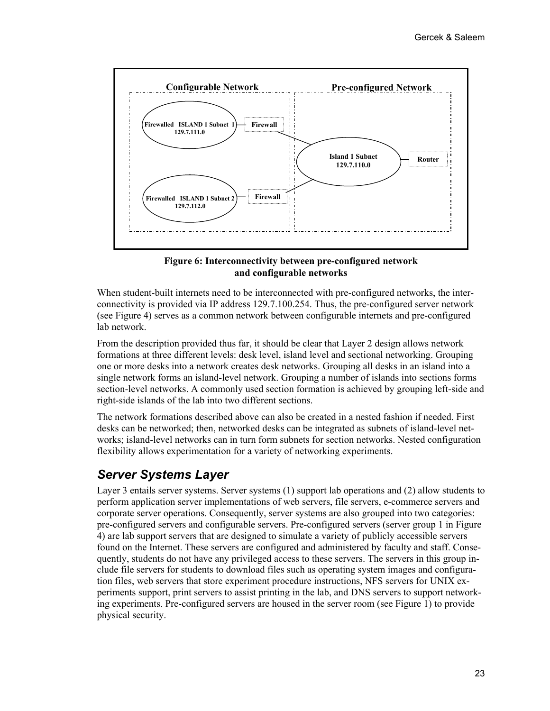

#### **Figure 6: Interconnectivity between pre-configured network and configurable networks**

When student-built internets need to be interconnected with pre-configured networks, the interconnectivity is provided via IP address 129.7.100.254. Thus, the pre-configured server network (see Figure 4) serves as a common network between configurable internets and pre-configured lab network.

From the description provided thus far, it should be clear that Layer 2 design allows network formations at three different levels: desk level, island level and sectional networking. Grouping one or more desks into a network creates desk networks. Grouping all desks in an island into a single network forms an island-level network. Grouping a number of islands into sections forms section-level networks. A commonly used section formation is achieved by grouping left-side and right-side islands of the lab into two different sections.

The network formations described above can also be created in a nested fashion if needed. First desks can be networked; then, networked desks can be integrated as subnets of island-level networks; island-level networks can in turn form subnets for section networks. Nested configuration flexibility allows experimentation for a variety of networking experiments.

### *Server Systems Layer*

Layer 3 entails server systems. Server systems (1) support lab operations and (2) allow students to perform application server implementations of web servers, file servers, e-commerce servers and corporate server operations. Consequently, server systems are also grouped into two categories: pre-configured servers and configurable servers. Pre-configured servers (server group 1 in Figure 4) are lab support servers that are designed to simulate a variety of publicly accessible servers found on the Internet. These servers are configured and administered by faculty and staff. Consequently, students do not have any privileged access to these servers. The servers in this group include file servers for students to download files such as operating system images and configuration files, web servers that store experiment procedure instructions, NFS servers for UNIX experiments support, print servers to assist printing in the lab, and DNS servers to support networking experiments. Pre-configured servers are housed in the server room (see Figure 1) to provide physical security.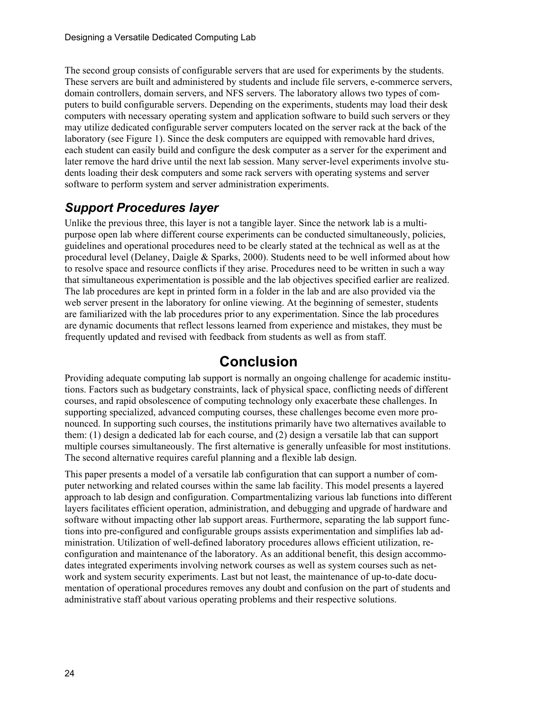The second group consists of configurable servers that are used for experiments by the students. These servers are built and administered by students and include file servers, e-commerce servers, domain controllers, domain servers, and NFS servers. The laboratory allows two types of computers to build configurable servers. Depending on the experiments, students may load their desk computers with necessary operating system and application software to build such servers or they may utilize dedicated configurable server computers located on the server rack at the back of the laboratory (see Figure 1). Since the desk computers are equipped with removable hard drives, each student can easily build and configure the desk computer as a server for the experiment and later remove the hard drive until the next lab session. Many server-level experiments involve students loading their desk computers and some rack servers with operating systems and server software to perform system and server administration experiments.

### *Support Procedures layer*

Unlike the previous three, this layer is not a tangible layer. Since the network lab is a multipurpose open lab where different course experiments can be conducted simultaneously, policies, guidelines and operational procedures need to be clearly stated at the technical as well as at the procedural level (Delaney, Daigle & Sparks, 2000). Students need to be well informed about how to resolve space and resource conflicts if they arise. Procedures need to be written in such a way that simultaneous experimentation is possible and the lab objectives specified earlier are realized. The lab procedures are kept in printed form in a folder in the lab and are also provided via the web server present in the laboratory for online viewing. At the beginning of semester, students are familiarized with the lab procedures prior to any experimentation. Since the lab procedures are dynamic documents that reflect lessons learned from experience and mistakes, they must be frequently updated and revised with feedback from students as well as from staff.

### **Conclusion**

Providing adequate computing lab support is normally an ongoing challenge for academic institutions. Factors such as budgetary constraints, lack of physical space, conflicting needs of different courses, and rapid obsolescence of computing technology only exacerbate these challenges. In supporting specialized, advanced computing courses, these challenges become even more pronounced. In supporting such courses, the institutions primarily have two alternatives available to them: (1) design a dedicated lab for each course, and (2) design a versatile lab that can support multiple courses simultaneously. The first alternative is generally unfeasible for most institutions. The second alternative requires careful planning and a flexible lab design.

This paper presents a model of a versatile lab configuration that can support a number of computer networking and related courses within the same lab facility. This model presents a layered approach to lab design and configuration. Compartmentalizing various lab functions into different layers facilitates efficient operation, administration, and debugging and upgrade of hardware and software without impacting other lab support areas. Furthermore, separating the lab support functions into pre-configured and configurable groups assists experimentation and simplifies lab administration. Utilization of well-defined laboratory procedures allows efficient utilization, reconfiguration and maintenance of the laboratory. As an additional benefit, this design accommodates integrated experiments involving network courses as well as system courses such as network and system security experiments. Last but not least, the maintenance of up-to-date documentation of operational procedures removes any doubt and confusion on the part of students and administrative staff about various operating problems and their respective solutions.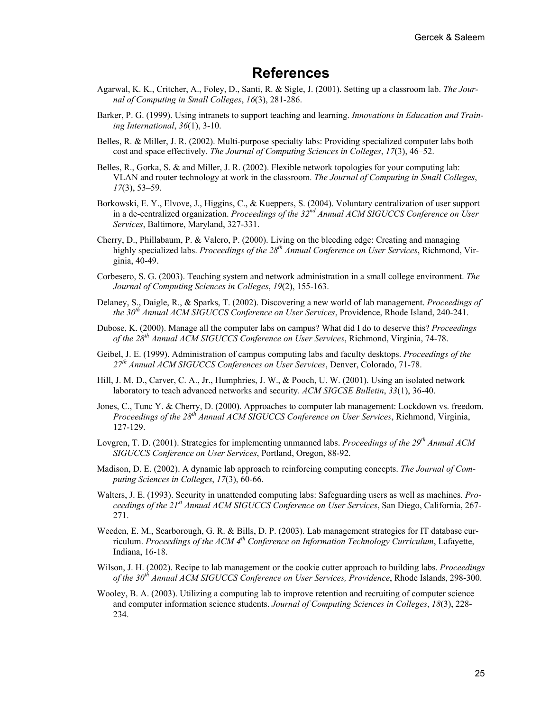## **References**

- Agarwal, K. K., Critcher, A., Foley, D., Santi, R. & Sigle, J. (2001). Setting up a classroom lab. *The Journal of Computing in Small Colleges*, *16*(3), 281-286.
- Barker, P. G. (1999). Using intranets to support teaching and learning. *Innovations in Education and Training International*, *36*(1), 3-10.
- Belles, R. & Miller, J. R. (2002). Multi-purpose specialty labs: Providing specialized computer labs both cost and space effectively. *The Journal of Computing Sciences in Colleges*, *17*(3), 46–52.
- Belles, R., Gorka, S. & and Miller, J. R. (2002). Flexible network topologies for your computing lab: VLAN and router technology at work in the classroom. *The Journal of Computing in Small Colleges*, *17*(3), 53–59.
- Borkowski, E. Y., Elvove, J., Higgins, C., & Kueppers, S. (2004). Voluntary centralization of user support in a de-centralized organization. *Proceedings of the 32nd Annual ACM SIGUCCS Conference on User Services*, Baltimore, Maryland, 327-331.
- Cherry, D., Phillabaum, P. & Valero, P. (2000). Living on the bleeding edge: Creating and managing highly specialized labs. *Proceedings of the 28th Annual Conference on User Services*, Richmond, Virginia, 40-49.
- Corbesero, S. G. (2003). Teaching system and network administration in a small college environment. *The Journal of Computing Sciences in Colleges*, *19*(2), 155-163.
- Delaney, S., Daigle, R., & Sparks, T. (2002). Discovering a new world of lab management. *Proceedings of the 30th Annual ACM SIGUCCS Conference on User Services*, Providence, Rhode Island, 240-241.
- Dubose, K. (2000). Manage all the computer labs on campus? What did I do to deserve this? *Proceedings of the 28th Annual ACM SIGUCCS Conference on User Services*, Richmond, Virginia, 74-78.
- Geibel, J. E. (1999). Administration of campus computing labs and faculty desktops. *Proceedings of the 27th Annual ACM SIGUCCS Conferences on User Services*, Denver, Colorado, 71-78.
- Hill, J. M. D., Carver, C. A., Jr., Humphries, J. W., & Pooch, U. W. (2001). Using an isolated network laboratory to teach advanced networks and security. *ACM SIGCSE Bulletin*, *33*(1), 36-40.
- Jones, C., Tunc Y. & Cherry, D. (2000). Approaches to computer lab management: Lockdown vs. freedom. *Proceedings of the 28th Annual ACM SIGUCCS Conference on User Services*, Richmond, Virginia, 127-129.
- Lovgren, T. D. (2001). Strategies for implementing unmanned labs. *Proceedings of the 29th Annual ACM SIGUCCS Conference on User Services*, Portland, Oregon, 88-92.
- Madison, D. E. (2002). A dynamic lab approach to reinforcing computing concepts. *The Journal of Computing Sciences in Colleges*, *17*(3), 60-66.
- Walters, J. E. (1993). Security in unattended computing labs: Safeguarding users as well as machines. *Proceedings of the 21st Annual ACM SIGUCCS Conference on User Services*, San Diego, California, 267- 271.
- Weeden, E. M., Scarborough, G. R. & Bills, D. P. (2003). Lab management strategies for IT database curriculum. *Proceedings of the ACM 4th Conference on Information Technology Curriculum*, Lafayette, Indiana, 16-18.
- Wilson, J. H. (2002). Recipe to lab management or the cookie cutter approach to building labs. *Proceedings of the 30th Annual ACM SIGUCCS Conference on User Services, Providence*, Rhode Islands, 298-300.
- Wooley, B. A. (2003). Utilizing a computing lab to improve retention and recruiting of computer science and computer information science students. *Journal of Computing Sciences in Colleges*, *18*(3), 228- 234.